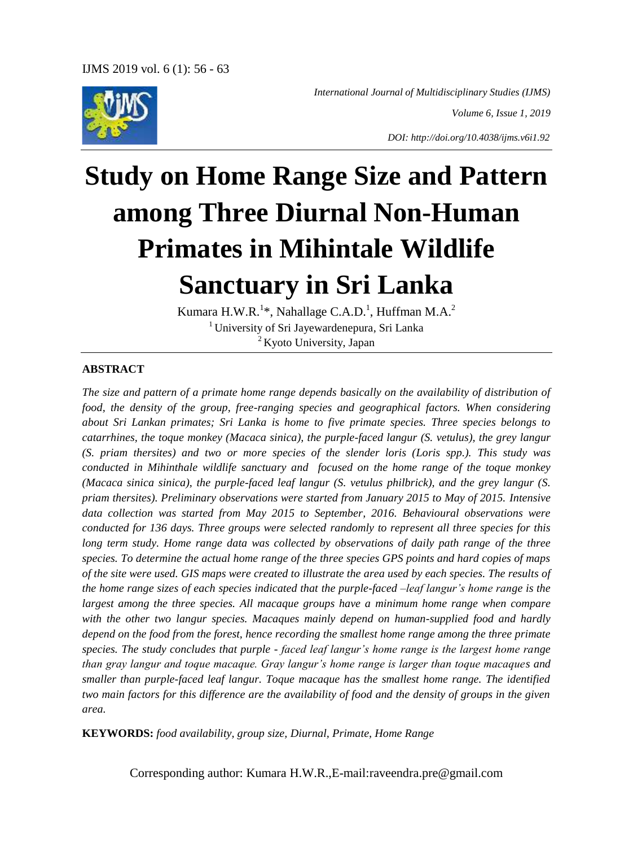

*International Journal of Multidisciplinary Studies (IJMS)*

*Volume 6, Issue 1, 2019*

*DOI: http://doi.org/10.4038/ijms.v6i1.92*

# **Study on Home Range Size and Pattern among Three Diurnal Non-Human Primates in Mihintale Wildlife Sanctuary in Sri Lanka**

Kumara H.W.R. $^{1*}$ , Nahallage C.A.D.<sup>1</sup>, Huffman M.A.<sup>2</sup> <sup>1</sup> University of Sri Jayewardenepura, Sri Lanka  $2$  Kyoto University, Japan

#### **ABSTRACT**

*The size and pattern of a primate home range depends basically on the availability of distribution of food, the density of the group, free-ranging species and geographical factors. When considering about Sri Lankan primates; Sri Lanka is home to five primate species. Three species belongs to catarrhines, the toque monkey (Macaca sinica), the purple-faced langur (S. vetulus), the grey langur (S. priam thersites) and two or more species of the slender loris (Loris spp.). This study was conducted in Mihinthale wildlife sanctuary and focused on the home range of the toque monkey (Macaca sinica sinica), the purple-faced leaf langur (S. vetulus philbrick), and the grey langur (S. priam thersites). Preliminary observations were started from January 2015 to May of 2015. Intensive data collection was started from May 2015 to September, 2016. Behavioural observations were conducted for 136 days. Three groups were selected randomly to represent all three species for this long term study. Home range data was collected by observations of daily path range of the three species. To determine the actual home range of the three species GPS points and hard copies of maps of the site were used. GIS maps were created to illustrate the area used by each species. The results of the home range sizes of each species indicated that the purple-faced –leaf langur's home range is the largest among the three species. All macaque groups have a minimum home range when compare with the other two langur species. Macaques mainly depend on human-supplied food and hardly depend on the food from the forest, hence recording the smallest home range among the three primate species. The study concludes that purple - faced leaf langur's home range is the largest home range than gray langur and toque macaque. Gray langur's home range is larger than toque macaques and smaller than purple-faced leaf langur. Toque macaque has the smallest home range. The identified two main factors for this difference are the availability of food and the density of groups in the given area.* 

**KEYWORDS:** *food availability, group size, Diurnal, Primate, Home Range*

Corresponding author: Kumara H.W.R.,E-mail[:raveendra.pre@gmail.com](mailto:raveendra.pre@gmail.com)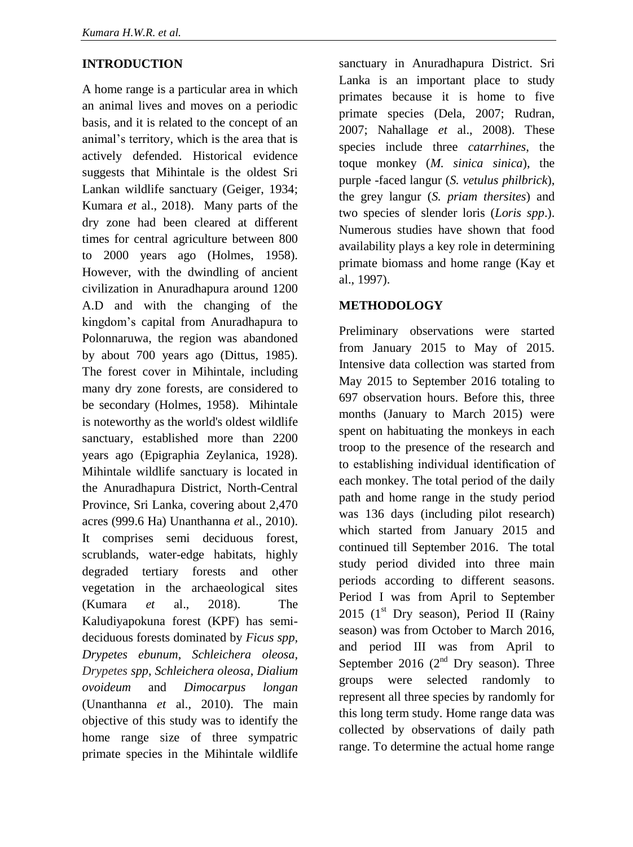## **INTRODUCTION**

A home range is a particular area in which an animal lives and moves on a periodic basis, and it is related to the concept of an animal's territory, which is the area that is actively defended. Historical evidence suggests that Mihintale is the oldest Sri Lankan wildlife sanctuary (Geiger, 1934; Kumara *et* al., 2018). Many parts of the dry zone had been cleared at different times for central agriculture between 800 to 2000 years ago (Holmes, 1958). However, with the dwindling of ancient civilization in Anuradhapura around 1200 A.D and with the changing of the kingdom's capital from Anuradhapura to Polonnaruwa, the region was abandoned by about 700 years ago (Dittus, 1985). The forest cover in Mihintale, including many dry zone forests, are considered to be secondary (Holmes, 1958). Mihintale is noteworthy as the world's oldest wildlife sanctuary, established more than 2200 years ago (Epigraphia Zeylanica, 1928). Mihintale wildlife sanctuary is located in the Anuradhapura District, North-Central Province, Sri Lanka, covering about 2,470 acres (999.6 Ha) Unanthanna *et* al., 2010). It comprises semi deciduous forest, scrublands, water-edge habitats, highly degraded tertiary forests and other vegetation in the archaeological sites (Kumara *et* al., 2018). The Kaludiyapokuna forest (KPF) has semideciduous forests dominated by *Ficus spp, Drypetes ebunum*, *Schleichera oleosa, Drypetes spp*, *Schleichera oleosa*, *Dialium ovoideum* and *Dimocarpus longan* (Unanthanna *et* al., 2010). The main objective of this study was to identify the home range size of three sympatric primate species in the Mihintale wildlife

sanctuary in Anuradhapura District. Sri Lanka is an important place to study primates because it is home to five primate species (Dela, 2007; Rudran, 2007; Nahallage *et* al., 2008). These species include three *catarrhines*, the toque monkey (*M. sinica sinica*), the purple -faced langur (*S. vetulus philbrick*), the grey langur (*S. priam thersites*) and two species of slender loris (*Loris spp*.). Numerous studies have shown that food availability plays a key role in determining primate biomass and home range (Kay et al., 1997).

## **METHODOLOGY**

Preliminary observations were started from January 2015 to May of 2015. Intensive data collection was started from May 2015 to September 2016 totaling to 697 observation hours. Before this, three months (January to March 2015) were spent on habituating the monkeys in each troop to the presence of the research and to establishing individual identification of each monkey. The total period of the daily path and home range in the study period was 136 days (including pilot research) which started from January 2015 and continued till September 2016. The total study period divided into three main periods according to different seasons. Period I was from April to September 2015 ( $1<sup>st</sup>$  Dry season), Period II (Rainy season) was from October to March 2016, and period III was from April to September 2016 ( $2<sup>nd</sup>$  Dry season). Three groups were selected randomly to represent all three species by randomly for this long term study. Home range data was collected by observations of daily path range. To determine the actual home range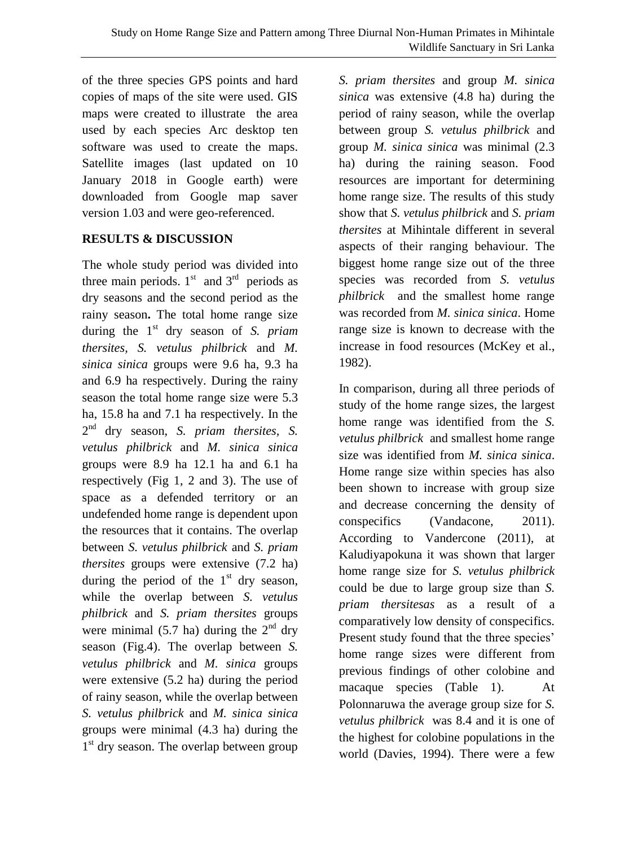of the three species GPS points and hard copies of maps of the site were used. GIS maps were created to illustrate the area used by each species Arc desktop ten software was used to create the maps. Satellite images (last updated on 10 January 2018 in Google earth) were downloaded from Google map saver version 1.03 and were geo-referenced.

# **RESULTS & DISCUSSION**

The whole study period was divided into three main periods.  $1<sup>st</sup>$  and  $3<sup>rd</sup>$  periods as dry seasons and the second period as the rainy season**.** The total home range size during the 1st dry season of *S. priam thersites, S. vetulus philbrick* and *M. sinica sinica* groups were 9.6 ha, 9.3 ha and 6.9 ha respectively. During the rainy season the total home range size were 5.3 ha, 15.8 ha and 7.1 ha respectively. In the 2 nd dry season, *S. priam thersites, S. vetulus philbrick* and *M. sinica sinica*  groups were 8.9 ha 12.1 ha and 6.1 ha respectively (Fig 1, 2 and 3). The use of space as a defended territory or an undefended home range is dependent upon the resources that it contains. The overlap between *S. vetulus philbrick* and *S. priam thersites* groups were extensive (7.2 ha) during the period of the  $1<sup>st</sup>$  dry season, while the overlap between *S. vetulus philbrick* and *S. priam thersites* groups were minimal (5.7 ha) during the  $2<sup>nd</sup>$  dry season (Fig.4). The overlap between *S. vetulus philbrick* and *M. sinica* groups were extensive (5.2 ha) during the period of rainy season, while the overlap between *S. vetulus philbrick* and *M. sinica sinica*  groups were minimal (4.3 ha) during the 1<sup>st</sup> dry season. The overlap between group

*S. priam thersites* and group *M. sinica sinica* was extensive (4.8 ha) during the period of rainy season, while the overlap between group *S. vetulus philbrick* and group *M. sinica sinica* was minimal (2.3 ha) during the raining season. Food resources are important for determining home range size. The results of this study show that *S. vetulus philbrick* and *S. priam thersites* at Mihintale different in several aspects of their ranging behaviour. The biggest home range size out of the three species was recorded from *S. vetulus philbrick* and the smallest home range was recorded from *M. sinica sinica*. Home range size is known to decrease with the increase in food resources (McKey et al., 1982).

In comparison, during all three periods of study of the home range sizes, the largest home range was identified from the *S. vetulus philbrick* and smallest home range size was identified from *M. sinica sinica*. Home range size within species has also been shown to increase with group size and decrease concerning the density of conspecifics (Vandacone, 2011). According to Vandercone (2011), at Kaludiyapokuna it was shown that larger home range size for *S. vetulus philbrick*  could be due to large group size than *S. priam thersitesas* as a result of a comparatively low density of conspecifics. Present study found that the three species' home range sizes were different from previous findings of other colobine and macaque species (Table 1). At Polonnaruwa the average group size for *S. vetulus philbrick* was 8.4 and it is one of the highest for colobine populations in the world (Davies, 1994). There were a few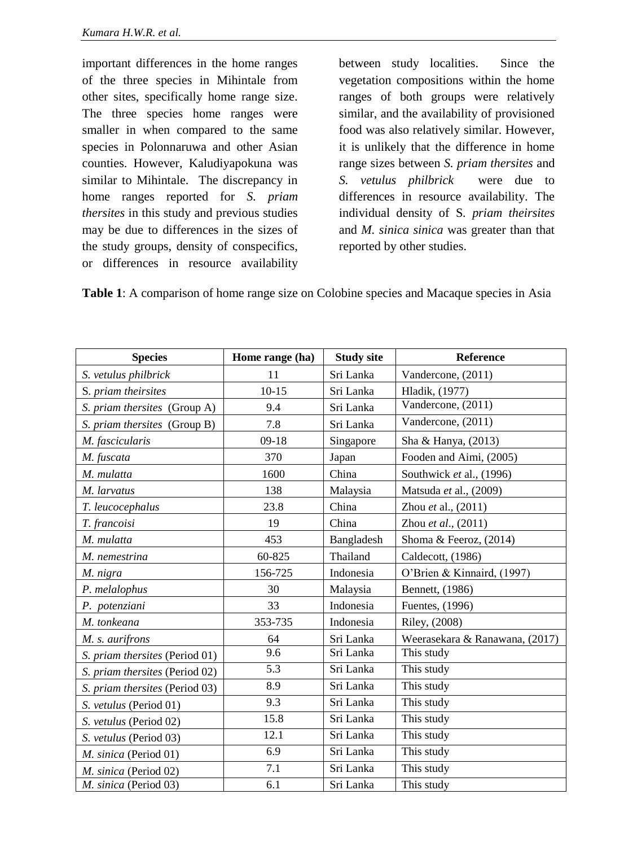important differences in the home ranges of the three species in Mihintale from other sites, specifically home range size. The three species home ranges were smaller in when compared to the same species in Polonnaruwa and other Asian counties. However, Kaludiyapokuna was similar to Mihintale. The discrepancy in home ranges reported for *S. priam thersites* in this study and previous studies may be due to differences in the sizes of the study groups, density of conspecifics, or differences in resource availability

between study localities. Since the vegetation compositions within the home ranges of both groups were relatively similar, and the availability of provisioned food was also relatively similar. However, it is unlikely that the difference in home range sizes between *S. priam thersites* and *S. vetulus philbrick* were due to differences in resource availability. The individual density of S*. priam theirsites* and *M. sinica sinica* was greater than that reported by other studies.

**Table 1**: A comparison of home range size on Colobine species and Macaque species in Asia

| <b>Species</b>                 | Home range (ha) | <b>Study site</b> | Reference                      |
|--------------------------------|-----------------|-------------------|--------------------------------|
| S. vetulus philbrick           | 11              | Sri Lanka         | Vandercone, (2011)             |
| S. priam theirsites            | $10 - 15$       | Sri Lanka         | Hladik, (1977)                 |
| S. priam thersites (Group A)   | 9.4             | Sri Lanka         | Vandercone, (2011)             |
| S. priam thersites (Group B)   | 7.8             | Sri Lanka         | Vandercone, (2011)             |
| M. fascicularis                | $09-18$         | Singapore         | Sha & Hanya, (2013)            |
| M. fuscata                     | 370             | Japan             | Fooden and Aimi, (2005)        |
| M. mulatta                     | 1600            | China             | Southwick et al., (1996)       |
| M. larvatus                    | 138             | Malaysia          | Matsuda et al., (2009)         |
| T. leucocephalus               | 23.8            | China             | Zhou et al., (2011)            |
| T. francoisi                   | 19              | China             | Zhou et al., (2011)            |
| M. mulatta                     | 453             | Bangladesh        | Shoma & Feeroz, (2014)         |
| M. nemestrina                  | 60-825          | Thailand          | Caldecott, (1986)              |
| M. nigra                       | 156-725         | Indonesia         | O'Brien & Kinnaird, (1997)     |
| P. melalophus                  | 30              | Malaysia          | Bennett, (1986)                |
| P. potenziani                  | 33              | Indonesia         | Fuentes, (1996)                |
| M. tonkeana                    | 353-735         | Indonesia         | Riley, (2008)                  |
| M. s. aurifrons                | 64              | Sri Lanka         | Weerasekara & Ranawana, (2017) |
| S. priam thersites (Period 01) | 9.6             | Sri Lanka         | This study                     |
| S. priam thersites (Period 02) | 5.3             | Sri Lanka         | This study                     |
| S. priam thersites (Period 03) | 8.9             | Sri Lanka         | This study                     |
| S. vetulus (Period 01)         | 9.3             | Sri Lanka         | This study                     |
| S. vetulus (Period 02)         | 15.8            | Sri Lanka         | This study                     |
| S. vetulus (Period 03)         | 12.1            | Sri Lanka         | This study                     |
| M. sinica (Period 01)          | 6.9             | Sri Lanka         | This study                     |
| M. sinica (Period 02)          | 7.1             | Sri Lanka         | This study                     |
| M. sinica (Period 03)          | 6.1             | Sri Lanka         | This study                     |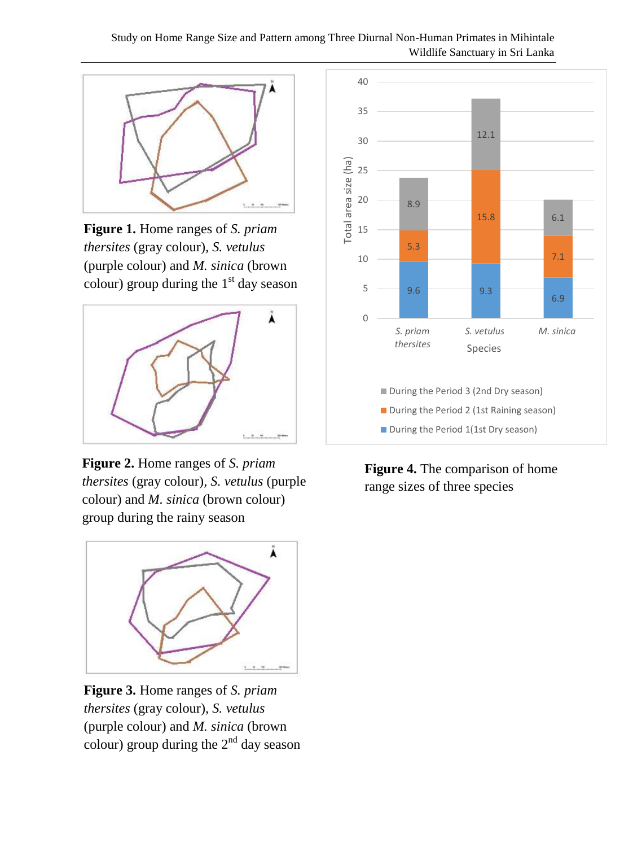## Study on Home Range Size and Pattern among Three Diurnal Non-Human Primates in Mihintale Wildlife Sanctuary in Sri Lanka



**Figure 1.** Home ranges of *S. priam thersites* (gray colour)*, S. vetulus* (purple colour) and *M. sinica* (brown colour) group during the  $1<sup>st</sup>$  day season



**Figure 2.** Home ranges of *S. priam thersites* (gray colour)*, S. vetulus* (purple colour) and *M. sinica* (brown colour) group during the rainy season



**Figure 3.** Home ranges of *S. priam thersites* (gray colour)*, S. vetulus* (purple colour) and *M. sinica* (brown colour) group during the  $2<sup>nd</sup>$  day season



**Figure 4.** The comparison of home range sizes of three species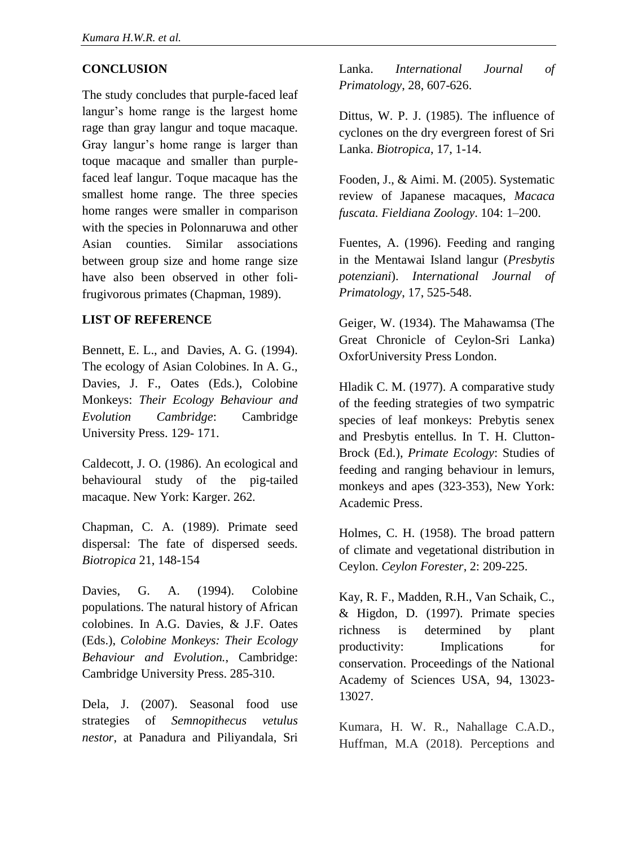# **CONCLUSION**

The study concludes that purple-faced leaf langur's home range is the largest home rage than gray langur and toque macaque. Gray langur's home range is larger than toque macaque and smaller than purplefaced leaf langur. Toque macaque has the smallest home range. The three species home ranges were smaller in comparison with the species in Polonnaruwa and other Asian counties. Similar associations between group size and home range size have also been observed in other folifrugivorous primates (Chapman, 1989).

## **LIST OF REFERENCE**

Bennett, E. L., and Davies, A. G. (1994). The ecology of Asian Colobines. In A. G., Davies, J. F., Oates (Eds.), Colobine Monkeys: *Their Ecology Behaviour and Evolution Cambridge*: Cambridge University Press. 129- 171.

Caldecott, J. O. (1986). An ecological and behavioural study of the pig-tailed macaque. New York: Karger. 262.

Chapman, C. A. (1989). Primate seed dispersal: The fate of dispersed seeds. *Biotropica* 21, 148-154

Davies, G. A. (1994). Colobine populations. The natural history of African colobines. In A.G. Davies, & J.F. Oates (Eds.), *Colobine Monkeys: Their Ecology Behaviour and Evolution.*, Cambridge: Cambridge University Press. 285-310.

Dela, J. (2007). Seasonal food use strategies of *Semnopithecus vetulus nestor*, at Panadura and Piliyandala, Sri Lanka. *International Journal of Primatology*, 28, 607-626.

Dittus, W. P. J. (1985). The influence of cyclones on the dry evergreen forest of Sri Lanka. *Biotropica*, 17, 1-14.

Fooden, J., & Aimi. M. (2005). Systematic review of Japanese macaques, *Macaca fuscata. Fieldiana Zoology*. 104: 1–200.

Fuentes, A. (1996). Feeding and ranging in the Mentawai Island langur (*Presbytis potenziani*). *International Journal of Primatology*, 17, 525-548.

Geiger, W. (1934). The Mahawamsa (The Great Chronicle of Ceylon-Sri Lanka) OxforUniversity Press London.

Hladik C. M. (1977). A comparative study of the feeding strategies of two sympatric species of leaf monkeys: Prebytis senex and Presbytis entellus. In T. H. Clutton-Brock (Ed.), *Primate Ecology*: Studies of feeding and ranging behaviour in lemurs, monkeys and apes (323-353), New York: Academic Press.

Holmes, C. H. (1958). The broad pattern of climate and vegetational distribution in Ceylon. *Ceylon Forester*, 2: 209-225.

Kay, R. F., Madden, R.H., Van Schaik, C., & Higdon, D. (1997). Primate species richness is determined by plant productivity: Implications for conservation. Proceedings of the National Academy of Sciences USA, 94, 13023- 13027.

Kumara, H. W. R., Nahallage C.A.D., Huffman, M.A (2018). Perceptions and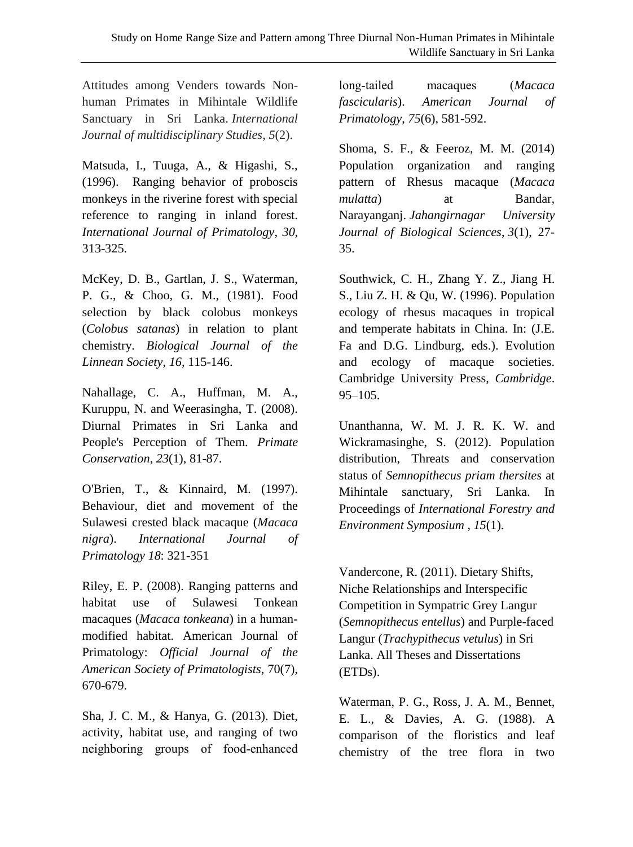Attitudes among Venders towards Nonhuman Primates in Mihintale Wildlife Sanctuary in Sri Lanka. *International Journal of multidisciplinary Studies*, *5*(2).

Matsuda, I., Tuuga, A., & Higashi, S., (1996). Ranging behavior of proboscis monkeys in the riverine forest with special reference to ranging in inland forest. *International Journal of Primatology*, *30*, 313-325.

McKey, D. B., Gartlan, J. S., Waterman, P. G., & Choo, G. M., (1981). Food selection by black colobus monkeys (*Colobus satanas*) in relation to plant chemistry. *Biological Journal of the Linnean Society*, *16*, 115-146.

Nahallage, C. A., Huffman, M. A., Kuruppu, N. and Weerasingha, T. (2008). Diurnal Primates in Sri Lanka and People's Perception of Them. *Primate Conservation*, *23*(1), 81-87.

O'Brien, T., & Kinnaird, M. (1997). Behaviour, diet and movement of the Sulawesi crested black macaque (*Macaca nigra*). *International Journal of Primatology 18*: 321-351

Riley, E. P. (2008). Ranging patterns and habitat use of Sulawesi Tonkean macaques (*Macaca tonkeana*) in a human‐ modified habitat. American Journal of Primatology: *Official Journal of the American Society of Primatologists*, 70(7), 670-679.

Sha, J. C. M., & Hanya, G. (2013). Diet, activity, habitat use, and ranging of two neighboring groups of food‐enhanced

long‐tailed macaques (*Macaca fascicularis*). *American Journal of Primatology*, *75*(6), 581-592.

Shoma, S. F., & Feeroz, M. M. (2014) Population organization and ranging pattern of Rhesus macaque (*Macaca mulatta*) at Bandar, Narayanganj. *Jahangirnagar University Journal of Biological Sciences*, *3*(1), 27- 35.

Southwick, C. H., Zhang Y. Z., Jiang H. S., Liu Z. H. & Qu, W. (1996). Population ecology of rhesus macaques in tropical and temperate habitats in China. In: (J.E. Fa and D.G. Lindburg, eds.). Evolution and ecology of macaque societies. Cambridge University Press, *Cambridge*. 95–105.

Unanthanna, W. M. J. R. K. W. and Wickramasinghe, S. (2012). Population distribution, Threats and conservation status of *Semnopithecus priam thersites* at Mihintale sanctuary, Sri Lanka. In Proceedings of *International Forestry and Environment Symposium* , *15*(1).

Vandercone, R. (2011). Dietary Shifts, Niche Relationships and Interspecific Competition in Sympatric Grey Langur (*Semnopithecus entellus*) and Purple-faced Langur (*Trachypithecus vetulus*) in Sri Lanka. All Theses and Dissertations (ETDs).

Waterman, P. G., Ross, J. A. M., Bennet, E. L., & Davies, A. G. (1988). A comparison of the floristics and leaf chemistry of the tree flora in two